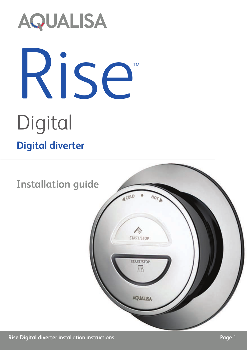# **AQUALISA** Rise

## Digital

#### **Digital diverter**



TM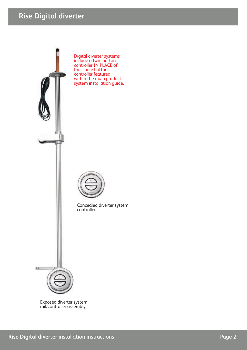#### **Rise Digital diverter**



Exposed diverter system rail/controller assembly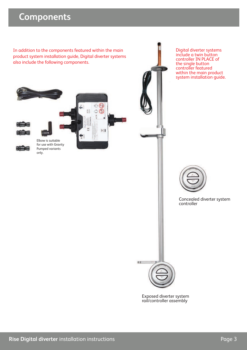#### **Components**

In addition to the components featured within the main product system installation guide, Digital diverter systems also include the following components.



Digital diverter systems include a twin button controller IN PLACE of the single button controller featured within the main product system installation guide.



Concealed diverter system controller



Exposed diverter system rail/controller assembly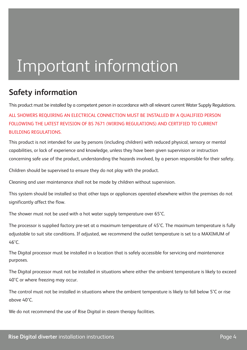### Important information

#### **Safety information**

This product must be installed by a competent person in accordance with all relevant current Water Supply Regulations.

ALL SHOWERS REQUIRING AN ELECTRICAL CONNECTION MUST BE INSTALLED BY A QUALIFIED PERSON FOLLOWING THE LATEST REVISION OF BS 7671 (WIRING REGULATIONS) AND CERTIFIED TO CURRENT BUILDING REGULATIONS.

This product is not intended for use by persons (including children) with reduced physical, sensory or mental capabilities, or lack of experience and knowledge, unless they have been given supervision or instruction concerning safe use of the product, understanding the hazards involved, by a person responsible for their safety.

Children should be supervised to ensure they do not play with the product.

Cleaning and user maintenance shall not be made by children without supervision.

This system should be installed so that other taps or appliances operated elsewhere within the premises do not significantly affect the flow.

The shower must not be used with a hot water supply temperature over 65°C.

The processor is supplied factory pre-set at a maximum temperature of 45°C. The maximum temperature is fully adjustable to suit site conditions. If adjusted, we recommend the outlet temperature is set to a MAXIMUM of  $6.6^\circ C$ 

The Digital processor must be installed in a location that is safely accessible for servicing and maintenance purposes.

The Digital processor must not be installed in situations where either the ambient temperature is likely to exceed 40°C or where freezing may occur.

The control must not be installed in situations where the ambient temperature is likely to fall below 5°C or rise above 40°C.

We do not recommend the use of Rise Digital in steam therapy facilities.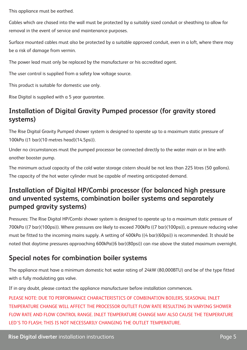This appliance must be earthed.

Cables which are chased into the wall must be protected by a suitably sized conduit or sheathing to allow for removal in the event of service and maintenance purposes.

Surface mounted cables must also be protected by a suitable approved conduit, even in a loft, where there may be a risk of damage from vermin.

The power lead must only be replaced by the manufacturer or his accredited agent.

The user control is supplied from a safety low voltage source.

This product is suitable for domestic use only.

Rise Digital is supplied with a 5 year guarantee.

#### **Installation of Digital Gravity Pumped processor (for gravity stored systems)**

The Rise Digital Gravity Pumped shower system is designed to operate up to a maximum static pressure of 100kPa ((1 bar)(10 metres head)(14.5psi)).

Under no circumstances must the pumped processor be connected directly to the water main or in line with another booster pump.

The minimum actual capacity of the cold water storage cistern should be not less than 225 litres (50 gallons). The capacity of the hot water cylinder must be capable of meeting anticipated demand.

#### **Installation of Digital HP/Combi processor (for balanced high pressure and unvented systems, combination boiler systems and separately pumped gravity systems)**

Pressures: The Rise Digital HP/Combi shower system is designed to operate up to a maximum static pressure of 700kPa ((7 bar)(100psi)). Where pressures are likely to exceed 700kPa ((7 bar)(100psi)), a pressure reducing valve must be fitted to the incoming mains supply. A setting of 400kPa ((4 bar)(60psi)) is recommended. It should be noted that daytime pressures approaching 600kPa((6 bar)(80psi)) can rise above the stated maximum overnight.

#### **Special notes for combination boiler systems**

The appliance must have a minimum domestic hot water rating of 24kW (80,000BTU) and be of the type fitted with a fully modulating gas valve.

If in any doubt, please contact the appliance manufacturer before installation commences.

PLEASE NOTE: DUE TO PERFORMANCE CHARACTERISTICS OF COMBINATION BOILERS, SEASONAL INLET TEMPERATURE CHANGE WILL AFFECT THE PROCESSOR OUTLET FLOW RATE RESULTING IN VARYING SHOWER FLOW RATE AND FLOW CONTROL RANGE. INLET TEMPERATURE CHANGE MAY ALSO CAUSE THE TEMPERATURE LED'S TO FLASH; THIS IS NOT NECESSARILY CHANGING THE OUTLET TEMPERATURE.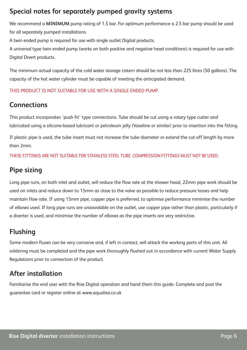#### **Special notes for separately pumped gravity systems**

We recommend a **MINIMUM** pump rating of 1.5 bar. For optimum performance a 2.5 bar pump should be used for all separately pumped installations.

A twin ended pump is required for use with single outlet Digital products.

A universal type twin ended pump (works on both positive and negative head conditions) is required for use with Digital Divert products.

The minimum actual capacity of the cold water storage cistern should be not less than 225 litres (50 gallons). The capacity of the hot water cylinder must be capable of meeting the anticipated demand.

THIS PRODUCT IS NOT SUITABLE FOR USE WITH A SINGLE ENDED PUMP.

#### **Connections**

This product incorporates 'push-fit' type connections. Tube should be cut using a rotary type cutter and lubricated using a silicone-based lubricant or petroleum jelly (Vaseline or similar) prior to insertion into the fitting.

If plastic pipe is used, the tube insert must not increase the tube diameter or extend the cut-off length by more than 2mm.

THESE FITTINGS ARE NOT SUITABLE FOR STAINLESS STEEL TUBE. COMPRESSION FITTINGS MUST NOT BE USED.

#### **Pipe sizing**

Long pipe runs, on both inlet and outlet, will reduce the flow rate at the shower head, 22mm pipe work should be used on inlets and reduce down to 15mm as close to the valve as possible to reduce pressure losses and help maintain flow rate. If using 15mm pipe, copper pipe is preferred, to optimise performance minimise the number of elbows used. If long pipe runs are unavoidable on the outlet, use copper pipe rather than plastic, particularly if a diverter is used, and minimise the number of elbows as the pipe inserts are very restrictive.

#### **Flushing**

Some modern fluxes can be very corrosive and, if left in contact, will attack the working parts of this unit. All soldering must be completed and the pipe work thoroughly flushed out in accordance with current Water Supply Regulations prior to connection of the product.

#### **After installation**

Familiarise the end user with the Rise Digital operation and hand them this guide. Complete and post the guarantee card or register online at www.aqualisa.co.uk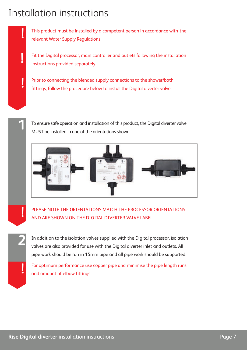#### Installation instructions

**!**

**!**

**2**

**!**

This product must be installed by a competent person in accordance with the relevant Water Supply Regulations.

Fit the Digital processor, main controller and outlets following the installation instructions provided separately.

Prior to connecting the blended supply connections to the shower/bath fittings, follow the procedure below to install the Digital diverter valve.

To ensure safe operation and installation of this product, the Digital diverter valve **1** MUST be installed in one of the orientations shown.



PLEASE NOTE THE ORIENTATIONS MATCH THE PROCESSOR ORIENTATIONS AND ARE SHOWN ON THE DIGITAL DIVERTER VALVE LABEL. **!**

In addition to the isolation valves supplied with the Digital processor, isolation valves are also provided for use with the Digital diverter inlet and outlets. All pipe work should be run in 15mm pipe and all pipe work should be supported.

For optimum performance use copper pipe and minimise the pipe length runs<br>and amount of elbow fittings.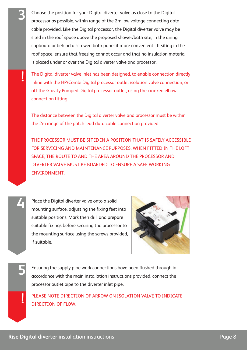Choose the position for your Digital diverter valve as close to the Digital processor as possible, within range of the 2m low voltage connecting data cable provided. Like the Digital processor, the Digital diverter valve may be sited in the roof space above the proposed shower/bath site, in the airing cupboard or behind a screwed bath panel if more convenient. If siting in the roof space, ensure that freezing cannot occur and that no insulation material is placed under or over the Digital diverter valve and processor.

**!** The Digital diverter valve inlet has been designed, to enable connection directly inline with the HP/Combi Digital processor outlet isolation valve connection, or off the Gravity Pumped Digital processor outlet, using the cranked elbow connection fitting.

The distance between the Digital diverter valve and processor must be within the 2m range of the patch lead data cable connection provided.

THE PROCESSOR MUST BE SITED IN A POSITION THAT IS SAFELY ACCESSIBLE FOR SERVICING AND MAINTENANCE PURPOSES. WHEN FITTED IN THE LOFT SPACE, THE ROUTE TO AND THE AREA AROUND THE PROCESSOR AND DIVERTER VALVE MUST BE BOARDED TO ENSURE A SAFE WORKING **ENVIRONMENT** 

**4**

**5**

**3**

Place the Digital diverter valve onto a solid mounting surface, adjusting the fixing feet into suitable positions. Mark then drill and prepare suitable fixings before securing the processor to the mounting surface using the screws provided, if suitable.



Ensuring the supply pipe work connections have been flushed through in accordance with the main installation instructions provided, connect the processor outlet pipe to the diverter inlet pipe.

PLEASE NOTE DIRECTION OF ARROW ON ISOLATION VALVE TO INDICATE DIRECTION OF FLOW. **!**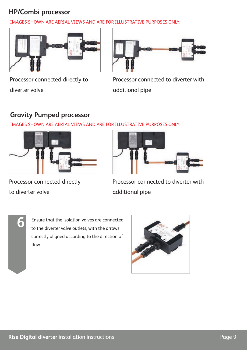#### **HP/Combi processor**

IMAGES SHOWN ARE AERIAL VIEWS AND ARE FOR ILLUSTRATIVE PURPOSES ONLY.





Processor connected directly to diverter valve

Processor connected to diverter with additional pipe

#### **Gravity Pumped processor**

IMAGES SHOWN ARE AERIAL VIEWS AND ARE FOR ILLUSTRATIVE PURPOSES ONLY.



Processor connected directly to diverter valve



Processor connected to diverter with additional pipe



Ensure that the isolation valves are connected to the diverter valve outlets, with the arrows correctly aligned according to the direction of flow.

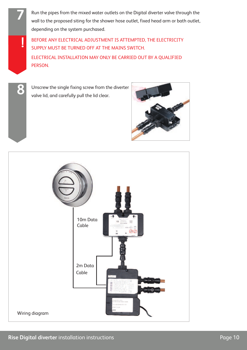Run the pipes from the mixed water outlets on the Digital diverter valve through the wall to the proposed siting for the shower hose outlet, fixed head arm or bath outlet, depending on the system purchased.

BEFORE ANY ELECTRICAL ADJUSTMENT IS ATTEMPTED, THE ELECTRICITY SUPPLY MUST BE TURNED OFF AT THE MAINS SWITCH. ELECTRICAL INSTALLATION MAY ONLY BE CARRIED OUT BY A QUALIFIED PERSON.

**7**

**!**

**8** Unscrew the single fixing screw from the diverter valve lid, and carefully pull the lid clear.



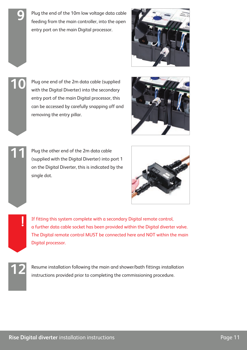Plug the end of the 10m low voltage data cable feeding from the main controller, into the open entry port on the main Digital processor.



Plug one end of the 2m data cable (supplied with the Digital Diverter) into the secondary entry port of the main Digital processor, this can be accessed by carefully snapping off and removing the entry pillar.



Plug the other end of the 2m data cable (supplied with the Digital Diverter) into port 1 on the Digital Diverter, this is indicated by the single dot.



If fitting this system complete with a secondary Digital remote control, a further data cable socket has been provided within the Digital diverter valve. The Digital remote control MUST be connected here and NOT within the main Digital processor.

**!**

**9**

**10**

**11**

Resume installation following the main and shower/bath fittings installation instructions provided prior to completing the commissioning procedure.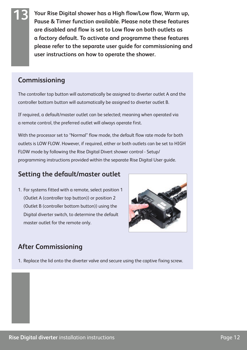**Your Rise Digital shower has a High flow/Low flow, Warm up, Pause & Timer function available. Please note these features are disabled and flow is set to Low flow on both outlets as a factory default. To activate and programme these features please refer to the separate user guide for commissioning and user instructions on how to operate the shower.**

#### **Commissioning**

**13**

The controller top button will automatically be assigned to diverter outlet A and the controller bottom button will automatically be assigned to diverter outlet B.

If required, a default/master outlet can be selected; meaning when operated via a remote control, the preferred outlet will always operate first.

With the processor set to "Normal" flow mode, the default flow rate mode for both outlets is LOW FLOW. However, if required, either or both outlets can be set to HIGH FLOW mode by following the Rise Digital Divert shower control - Setup/ programming instructions provided within the separate Rise Digital User guide.

#### **Setting the default/master outlet**

1. For systems fitted with a remote, select position 1 (Outlet A (controller top button)) or position 2 (Outlet B (controller bottom button)) using the Digital diverter switch, to determine the default master outlet for the remote only.



#### **After Commissioning**

1. Replace the lid onto the diverter valve and secure using the captive fixing screw.